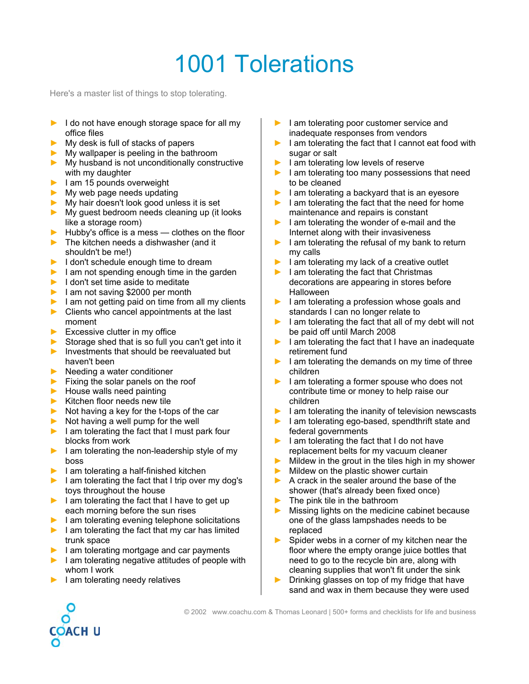## 1001 Tolerations

Here's a master list of things to stop tolerating.

- **►** I do not have enough storage space for all my office files
- **►** My desk is full of stacks of papers
- **►** My wallpaper is peeling in the bathroom
- **►** My husband is not unconditionally constructive with my daughter
- **►** I am 15 pounds overweight
- **►** My web page needs updating
- **►** My hair doesn't look good unless it is set
- **►** My guest bedroom needs cleaning up (it looks like a storage room)
- **►** Hubby's office is a mess clothes on the floor
- **►** The kitchen needs a dishwasher (and it shouldn't be me!)
- **►** I don't schedule enough time to dream
- **►** I am not spending enough time in the garden
- **►** I don't set time aside to meditate
- **►** I am not saving \$2000 per month
- **►** I am not getting paid on time from all my clients
- **►** Clients who cancel appointments at the last moment
- **►** Excessive clutter in my office
- **►** Storage shed that is so full you can't get into it
- **►** Investments that should be reevaluated but haven't been
- **►** Needing a water conditioner
- **►** Fixing the solar panels on the roof
- **►** House walls need painting
- **►** Kitchen floor needs new tile
- **►** Not having a key for the t-tops of the car
- **►** Not having a well pump for the well
- **►** I am tolerating the fact that I must park four blocks from work
- **►** I am tolerating the non-leadership style of my boss
- **►** I am tolerating a half-finished kitchen
- **►** I am tolerating the fact that I trip over my dog's toys throughout the house
- **►** I am tolerating the fact that I have to get up each morning before the sun rises
- **►** I am tolerating evening telephone solicitations
- **►** I am tolerating the fact that my car has limited trunk space
- **►** I am tolerating mortgage and car payments
- **►** I am tolerating negative attitudes of people with whom I work
- **►** I am tolerating needy relatives
- **►** I am tolerating poor customer service and inadequate responses from vendors
- **►** I am tolerating the fact that I cannot eat food with sugar or salt
- **►** I am tolerating low levels of reserve
- **►** I am tolerating too many possessions that need to be cleaned
- **►** I am tolerating a backyard that is an eyesore
- **►** I am tolerating the fact that the need for home maintenance and repairs is constant
- **►** I am tolerating the wonder of e-mail and the Internet along with their invasiveness
- **►** I am tolerating the refusal of my bank to return my calls
- **►** I am tolerating my lack of a creative outlet
- **►** I am tolerating the fact that Christmas decorations are appearing in stores before Halloween
- **►** I am tolerating a profession whose goals and standards I can no longer relate to
- **►** I am tolerating the fact that all of my debt will not be paid off until March 2008
- **►** I am tolerating the fact that I have an inadequate retirement fund
- **►** I am tolerating the demands on my time of three children
- **►** I am tolerating a former spouse who does not contribute time or money to help raise our children
- **►** I am tolerating the inanity of television newscasts
- **►** I am tolerating ego-based, spendthrift state and federal governments
- **►** I am tolerating the fact that I do not have replacement belts for my vacuum cleaner
- **►** Mildew in the grout in the tiles high in my shower
- **►** Mildew on the plastic shower curtain
- **►** A crack in the sealer around the base of the shower (that's already been fixed once)
- **►** The pink tile in the bathroom
- Missing lights on the medicine cabinet because one of the glass lampshades needs to be replaced
- Spider webs in a corner of my kitchen near the floor where the empty orange juice bottles that need to go to the recycle bin are, along with cleaning supplies that won't fit under the sink
- **►** Drinking glasses on top of my fridge that have sand and wax in them because they were used

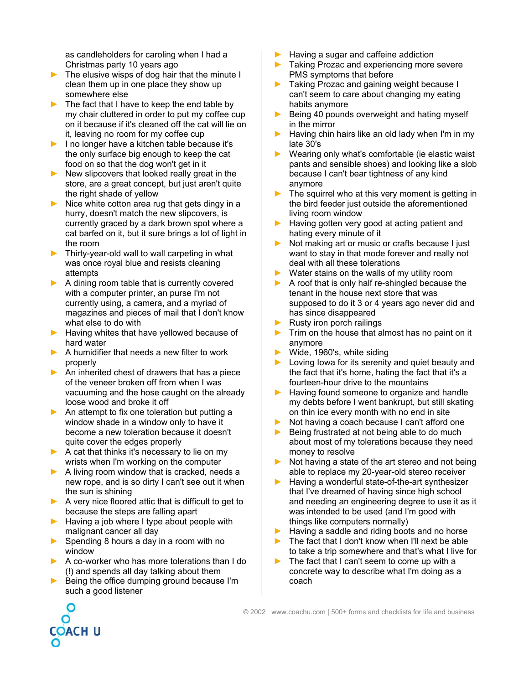as candleholders for caroling when I had a Christmas party 10 years ago

- **►** The elusive wisps of dog hair that the minute I clean them up in one place they show up somewhere else
- **►** The fact that I have to keep the end table by my chair cluttered in order to put my coffee cup on it because if it's cleaned off the cat will lie on it, leaving no room for my coffee cup
- **►** I no longer have a kitchen table because it's the only surface big enough to keep the cat food on so that the dog won't get in it
- **►** New slipcovers that looked really great in the store, are a great concept, but just aren't quite the right shade of yellow
- **►** Nice white cotton area rug that gets dingy in a hurry, doesn't match the new slipcovers, is currently graced by a dark brown spot where a cat barfed on it, but it sure brings a lot of light in the room
- **►** Thirty-year-old wall to wall carpeting in what was once royal blue and resists cleaning attempts
- **►** A dining room table that is currently covered with a computer printer, an purse I'm not currently using, a camera, and a myriad of magazines and pieces of mail that I don't know what else to do with
- **►** Having whites that have yellowed because of hard water
- **►** A humidifier that needs a new filter to work properly
- **►** An inherited chest of drawers that has a piece of the veneer broken off from when I was vacuuming and the hose caught on the already loose wood and broke it off
- **►** An attempt to fix one toleration but putting a window shade in a window only to have it become a new toleration because it doesn't quite cover the edges properly
- **►** A cat that thinks it's necessary to lie on my wrists when I'm working on the computer
- **►** A living room window that is cracked, needs a new rope, and is so dirty I can't see out it when the sun is shining
- **►** A very nice floored attic that is difficult to get to because the steps are falling apart
- **►** Having a job where I type about people with malignant cancer all day
- **►** Spending 8 hours a day in a room with no window
- **►** A co-worker who has more tolerations than I do (!) and spends all day talking about them
- **►** Being the office dumping ground because I'm such a good listener

∩

OACH U

**►** Having a sugar and caffeine addiction

- Taking Prozac and experiencing more severe PMS symptoms that before
- **►** Taking Prozac and gaining weight because I can't seem to care about changing my eating habits anymore
- **►** Being 40 pounds overweight and hating myself in the mirror
- **►** Having chin hairs like an old lady when I'm in my late 30's
- **►** Wearing only what's comfortable (ie elastic waist pants and sensible shoes) and looking like a slob because I can't bear tightness of any kind anymore
- The squirrel who at this very moment is getting in the bird feeder just outside the aforementioned living room window
- **►** Having gotten very good at acting patient and hating every minute of it
- **►** Not making art or music or crafts because I just want to stay in that mode forever and really not deal with all these tolerations
- **►** Water stains on the walls of my utility room
- **►** A roof that is only half re-shingled because the tenant in the house next store that was supposed to do it 3 or 4 years ago never did and has since disappeared
- **►** Rusty iron porch railings
- **►** Trim on the house that almost has no paint on it anymore
- **►** Wide, 1960's, white siding
- **►** Loving Iowa for its serenity and quiet beauty and the fact that it's home, hating the fact that it's a fourteen-hour drive to the mountains
- **►** Having found someone to organize and handle my debts before I went bankrupt, but still skating on thin ice every month with no end in site
- **►** Not having a coach because I can't afford one
- **►** Being frustrated at not being able to do much about most of my tolerations because they need money to resolve
- **►** Not having a state of the art stereo and not being able to replace my 20-year-old stereo receiver
- **►** Having a wonderful state-of-the-art synthesizer that I've dreamed of having since high school and needing an engineering degree to use it as it was intended to be used (and I'm good with things like computers normally)
- **►** Having a saddle and riding boots and no horse
- **►** The fact that I don't know when I'll next be able to take a trip somewhere and that's what I live for
- **►** The fact that I can't seem to come up with a concrete way to describe what I'm doing as a coach

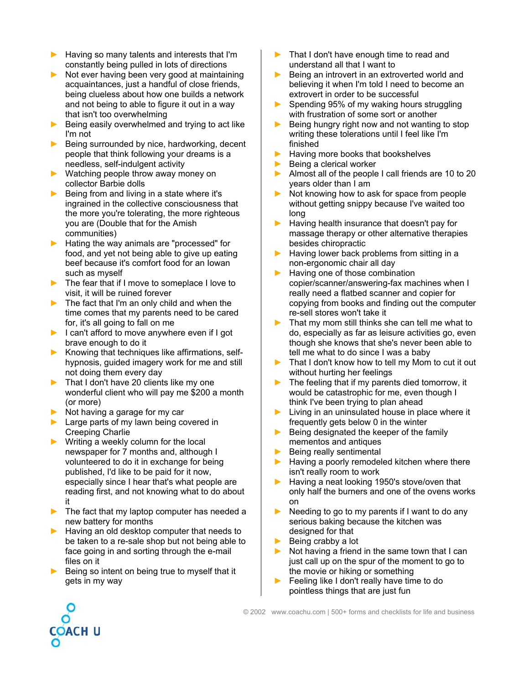- **►** Having so many talents and interests that I'm constantly being pulled in lots of directions
- **►** Not ever having been very good at maintaining acquaintances, just a handful of close friends, being clueless about how one builds a network and not being to able to figure it out in a way that isn't too overwhelming
- **►** Being easily overwhelmed and trying to act like I'm not
- **►** Being surrounded by nice, hardworking, decent people that think following your dreams is a needless, self-indulgent activity
- **►** Watching people throw away money on collector Barbie dolls
- **►** Being from and living in a state where it's ingrained in the collective consciousness that the more you're tolerating, the more righteous you are (Double that for the Amish communities)
- **►** Hating the way animals are "processed" for food, and yet not being able to give up eating beef because it's comfort food for an Iowan such as myself
- **►** The fear that if I move to someplace I love to visit, it will be ruined forever
- **►** The fact that I'm an only child and when the time comes that my parents need to be cared for, it's all going to fall on me
- **►** I can't afford to move anywhere even if I got brave enough to do it
- **►** Knowing that techniques like affirmations, selfhypnosis, guided imagery work for me and still not doing them every day
- **►** That I don't have 20 clients like my one wonderful client who will pay me \$200 a month (or more)
- **►** Not having a garage for my car
- **►** Large parts of my lawn being covered in Creeping Charlie
- **►** Writing a weekly column for the local newspaper for 7 months and, although I volunteered to do it in exchange for being published, I'd like to be paid for it now, especially since I hear that's what people are reading first, and not knowing what to do about it
- **►** The fact that my laptop computer has needed a new battery for months
- **►** Having an old desktop computer that needs to be taken to a re-sale shop but not being able to face going in and sorting through the e-mail files on it
- **►** Being so intent on being true to myself that it gets in my way
- **►** That I don't have enough time to read and understand all that I want to
- Being an introvert in an extroverted world and believing it when I'm told I need to become an extrovert in order to be successful
- **►** Spending 95% of my waking hours struggling with frustration of some sort or another
- **►** Being hungry right now and not wanting to stop writing these tolerations until I feel like I'm finished
- **►** Having more books that bookshelves
- **►** Being a clerical worker
- **►** Almost all of the people I call friends are 10 to 20 years older than I am
- **►** Not knowing how to ask for space from people without getting snippy because I've waited too long
- **►** Having health insurance that doesn't pay for massage therapy or other alternative therapies besides chiropractic
- **►** Having lower back problems from sitting in a non-ergonomic chair all day
- **►** Having one of those combination copier/scanner/answering-fax machines when I really need a flatbed scanner and copier for copying from books and finding out the computer re-sell stores won't take it
- That my mom still thinks she can tell me what to do, especially as far as leisure activities go, even though she knows that she's never been able to tell me what to do since I was a baby
- **►** That I don't know how to tell my Mom to cut it out without hurting her feelings
- The feeling that if my parents died tomorrow, it would be catastrophic for me, even though I think I've been trying to plan ahead
- **►** Living in an uninsulated house in place where it frequently gets below 0 in the winter
- **►** Being designated the keeper of the family mementos and antiques
- **►** Being really sentimental
- **►** Having a poorly remodeled kitchen where there isn't really room to work
- **►** Having a neat looking 1950's stove/oven that only half the burners and one of the ovens works on
- Needing to go to my parents if I want to do any serious baking because the kitchen was designed for that
- **►** Being crabby a lot
- **►** Not having a friend in the same town that I can just call up on the spur of the moment to go to the movie or hiking or something
- **►** Feeling like I don't really have time to do pointless things that are just fun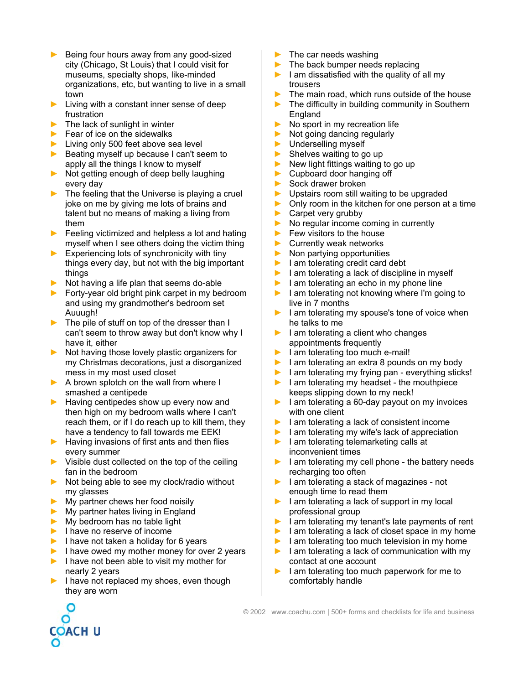- **►** Being four hours away from any good-sized city (Chicago, St Louis) that I could visit for museums, specialty shops, like-minded organizations, etc, but wanting to live in a small town
- **►** Living with a constant inner sense of deep frustration
- **►** The lack of sunlight in winter
- **►** Fear of ice on the sidewalks
- **►** Living only 500 feet above sea level
- **►** Beating myself up because I can't seem to apply all the things I know to myself
- **►** Not getting enough of deep belly laughing every day
- **►** The feeling that the Universe is playing a cruel joke on me by giving me lots of brains and talent but no means of making a living from them
- **►** Feeling victimized and helpless a lot and hating myself when I see others doing the victim thing
- **►** Experiencing lots of synchronicity with tiny things every day, but not with the big important things
- **►** Not having a life plan that seems do-able
- **►** Forty-year old bright pink carpet in my bedroom and using my grandmother's bedroom set Auuugh!
- **►** The pile of stuff on top of the dresser than I can't seem to throw away but don't know why I have it, either
- **►** Not having those lovely plastic organizers for my Christmas decorations, just a disorganized mess in my most used closet
- **►** A brown splotch on the wall from where I smashed a centipede
- **►** Having centipedes show up every now and then high on my bedroom walls where I can't reach them, or if I do reach up to kill them, they have a tendency to fall towards me EEK!
- **►** Having invasions of first ants and then flies every summer
- **►** Visible dust collected on the top of the ceiling fan in the bedroom
- **►** Not being able to see my clock/radio without my glasses
- **►** My partner chews her food noisily
- **►** My partner hates living in England
- **►** My bedroom has no table light
- **►** I have no reserve of income
- **►** I have not taken a holiday for 6 years
- **►** I have owed my mother money for over 2 years
- **►** I have not been able to visit my mother for nearly 2 years
- **►** I have not replaced my shoes, even though they are worn
- **►** The car needs washing
- **►** The back bumper needs replacing
- **►** I am dissatisfied with the quality of all my trousers
- The main road, which runs outside of the house
- The difficulty in building community in Southern England
- **►** No sport in my recreation life
- **►** Not going dancing regularly
- **►** Underselling myself
- **►** Shelves waiting to go up
- **►** New light fittings waiting to go up
- **►** Cupboard door hanging off
- **►** Sock drawer broken
- **►** Upstairs room still waiting to be upgraded
- **►** Only room in the kitchen for one person at a time
- **►** Carpet very grubby
- **►** No regular income coming in currently
- **►** Few visitors to the house
- **►** Currently weak networks
- **►** Non partying opportunities
- **►** I am tolerating credit card debt
- **►** I am tolerating a lack of discipline in myself
- **►** I am tolerating an echo in my phone line
- **►** I am tolerating not knowing where I'm going to live in 7 months
- **►** I am tolerating my spouse's tone of voice when he talks to me
- **►** I am tolerating a client who changes appointments frequently
- **►** I am tolerating too much e-mail!
- **►** I am tolerating an extra 8 pounds on my body
- **►** I am tolerating my frying pan everything sticks!
- **►** I am tolerating my headset the mouthpiece keeps slipping down to my neck!
- **►** I am tolerating a 60-day payout on my invoices with one client
- **►** I am tolerating a lack of consistent income
- **►** I am tolerating my wife's lack of appreciation
- **►** I am tolerating telemarketing calls at inconvenient times
- **►** I am tolerating my cell phone the battery needs recharging too often
- **►** I am tolerating a stack of magazines not enough time to read them
- **►** I am tolerating a lack of support in my local professional group
- **►** I am tolerating my tenant's late payments of rent
- **►** I am tolerating a lack of closet space in my home
- **►** I am tolerating too much television in my home
- **►** I am tolerating a lack of communication with my contact at one account
- **►** I am tolerating too much paperwork for me to comfortably handle